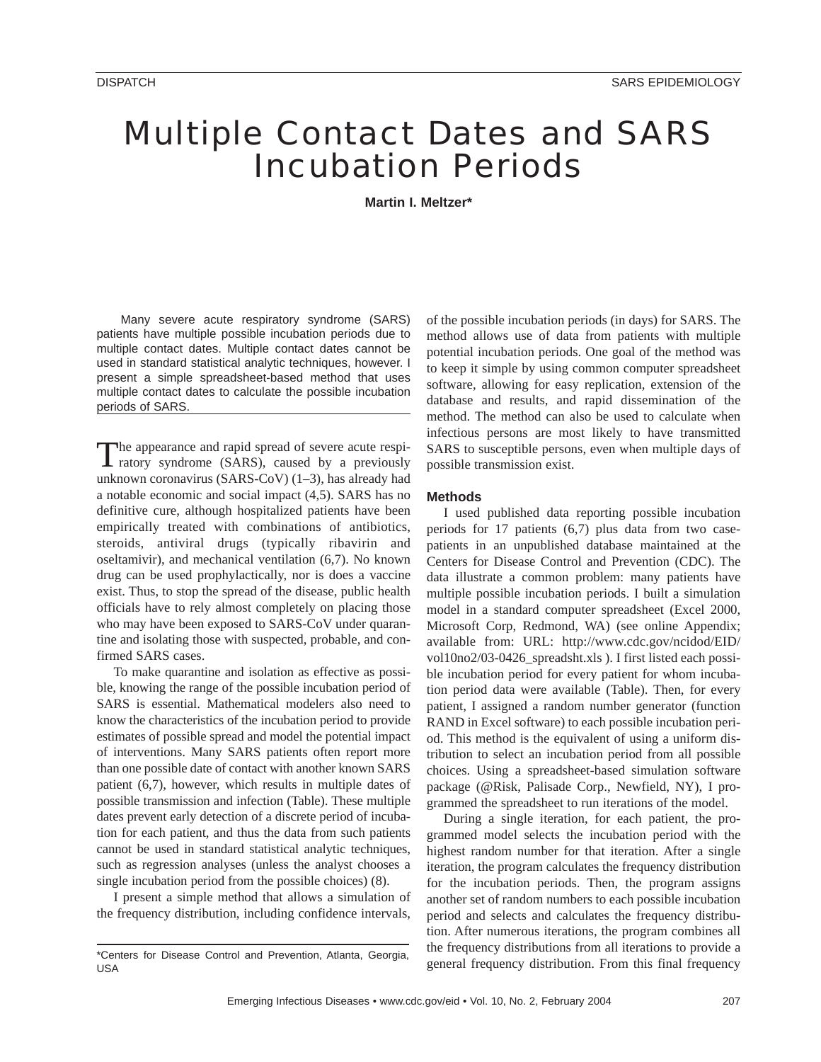# Multiple Contact Dates and SARS Incubation Periods

**Martin I. Meltzer\***

Many severe acute respiratory syndrome (SARS) patients have multiple possible incubation periods due to multiple contact dates. Multiple contact dates cannot be used in standard statistical analytic techniques, however. I present a simple spreadsheet-based method that uses multiple contact dates to calculate the possible incubation periods of SARS.

The appearance and rapid spread of severe acute respiratory syndrome (SARS), caused by a previously unknown coronavirus (SARS-CoV) (1–3), has already had a notable economic and social impact (4,5). SARS has no definitive cure, although hospitalized patients have been empirically treated with combinations of antibiotics, steroids, antiviral drugs (typically ribavirin and oseltamivir), and mechanical ventilation (6,7). No known drug can be used prophylactically, nor is does a vaccine exist. Thus, to stop the spread of the disease, public health officials have to rely almost completely on placing those who may have been exposed to SARS-CoV under quarantine and isolating those with suspected, probable, and confirmed SARS cases.

To make quarantine and isolation as effective as possible, knowing the range of the possible incubation period of SARS is essential. Mathematical modelers also need to know the characteristics of the incubation period to provide estimates of possible spread and model the potential impact of interventions. Many SARS patients often report more than one possible date of contact with another known SARS patient (6,7), however, which results in multiple dates of possible transmission and infection (Table). These multiple dates prevent early detection of a discrete period of incubation for each patient, and thus the data from such patients cannot be used in standard statistical analytic techniques, such as regression analyses (unless the analyst chooses a single incubation period from the possible choices) (8).

I present a simple method that allows a simulation of the frequency distribution, including confidence intervals,

of the possible incubation periods (in days) for SARS. The method allows use of data from patients with multiple potential incubation periods. One goal of the method was to keep it simple by using common computer spreadsheet software, allowing for easy replication, extension of the database and results, and rapid dissemination of the method. The method can also be used to calculate when infectious persons are most likely to have transmitted SARS to susceptible persons, even when multiple days of possible transmission exist.

# **Methods**

I used published data reporting possible incubation periods for 17 patients (6,7) plus data from two casepatients in an unpublished database maintained at the Centers for Disease Control and Prevention (CDC). The data illustrate a common problem: many patients have multiple possible incubation periods. I built a simulation model in a standard computer spreadsheet (Excel 2000, Microsoft Corp, Redmond, WA) (see online Appendix; available from: URL: http://www.cdc.gov/ncidod/EID/ vol10no2/03-0426\_spreadsht.xls ). I first listed each possible incubation period for every patient for whom incubation period data were available (Table). Then, for every patient, I assigned a random number generator (function RAND in Excel software) to each possible incubation period. This method is the equivalent of using a uniform distribution to select an incubation period from all possible choices. Using a spreadsheet-based simulation software package (@Risk, Palisade Corp., Newfield, NY), I programmed the spreadsheet to run iterations of the model.

During a single iteration, for each patient, the programmed model selects the incubation period with the highest random number for that iteration. After a single iteration, the program calculates the frequency distribution for the incubation periods. Then, the program assigns another set of random numbers to each possible incubation period and selects and calculates the frequency distribution. After numerous iterations, the program combines all the frequency distributions from all iterations to provide a general frequency distribution. From this final frequency

<sup>\*</sup>Centers for Disease Control and Prevention, Atlanta, Georgia, USA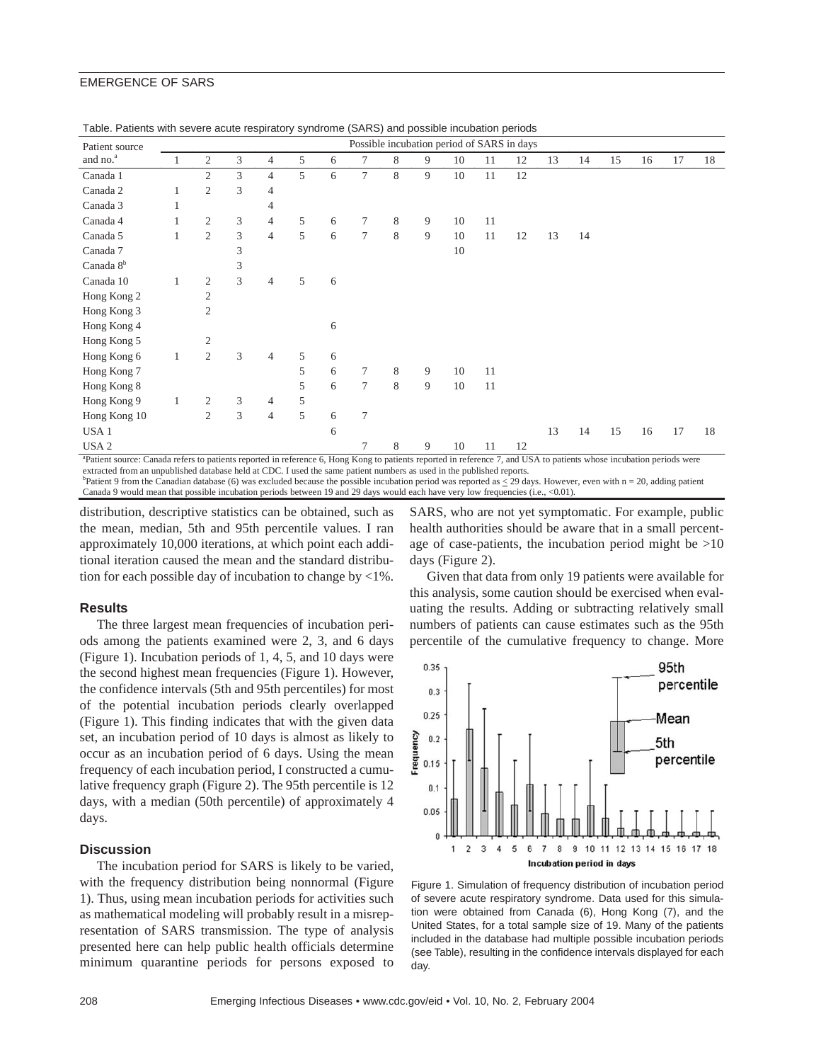### EMERGENCE OF SARS

| Patient source                                                                                                                                                                   | rabic. I alichts with scycle acute respiratory synarome (OARO) and possible incabation penous<br>Possible incubation period of SARS in days |                |                |                |   |   |                |   |   |    |    |    |    |    |    |    |    |    |
|----------------------------------------------------------------------------------------------------------------------------------------------------------------------------------|---------------------------------------------------------------------------------------------------------------------------------------------|----------------|----------------|----------------|---|---|----------------|---|---|----|----|----|----|----|----|----|----|----|
| and no. <sup>a</sup>                                                                                                                                                             |                                                                                                                                             | 2              | 3              | 4              | 5 | 6 | 7              | 8 | 9 | 10 | 11 | 12 | 13 | 14 | 15 | 16 | 17 | 18 |
| Canada 1                                                                                                                                                                         |                                                                                                                                             | $\overline{2}$ | 3              | $\overline{4}$ | 5 | 6 | 7              | 8 | 9 | 10 | 11 | 12 |    |    |    |    |    |    |
| Canada 2                                                                                                                                                                         |                                                                                                                                             | $\overline{2}$ | 3              | 4              |   |   |                |   |   |    |    |    |    |    |    |    |    |    |
| Canada 3                                                                                                                                                                         |                                                                                                                                             |                |                | 4              |   |   |                |   |   |    |    |    |    |    |    |    |    |    |
| Canada 4                                                                                                                                                                         |                                                                                                                                             | 2              | $\mathfrak{Z}$ | $\overline{4}$ | 5 | 6 | 7              | 8 | 9 | 10 | 11 |    |    |    |    |    |    |    |
| Canada 5                                                                                                                                                                         | 1                                                                                                                                           | $\overline{c}$ | $\mathfrak{Z}$ | $\overline{4}$ | 5 | 6 | $\overline{7}$ | 8 | 9 | 10 | 11 | 12 | 13 | 14 |    |    |    |    |
| Canada 7                                                                                                                                                                         |                                                                                                                                             |                | 3              |                |   |   |                |   |   | 10 |    |    |    |    |    |    |    |    |
| Canada 8 <sup>b</sup>                                                                                                                                                            |                                                                                                                                             |                | 3              |                |   |   |                |   |   |    |    |    |    |    |    |    |    |    |
| Canada 10                                                                                                                                                                        | $\mathbf{1}$                                                                                                                                | $\mathfrak{2}$ | 3              | $\overline{4}$ | 5 | 6 |                |   |   |    |    |    |    |    |    |    |    |    |
| Hong Kong 2                                                                                                                                                                      |                                                                                                                                             | $\overline{2}$ |                |                |   |   |                |   |   |    |    |    |    |    |    |    |    |    |
| Hong Kong 3                                                                                                                                                                      |                                                                                                                                             | $\overline{2}$ |                |                |   |   |                |   |   |    |    |    |    |    |    |    |    |    |
| Hong Kong 4                                                                                                                                                                      |                                                                                                                                             |                |                |                |   | 6 |                |   |   |    |    |    |    |    |    |    |    |    |
| Hong Kong 5                                                                                                                                                                      |                                                                                                                                             | 2              |                |                |   |   |                |   |   |    |    |    |    |    |    |    |    |    |
| Hong Kong 6                                                                                                                                                                      | $\mathbf{1}$                                                                                                                                | 2              | 3              | $\overline{4}$ | 5 | 6 |                |   |   |    |    |    |    |    |    |    |    |    |
| Hong Kong 7                                                                                                                                                                      |                                                                                                                                             |                |                |                | 5 | 6 | $\tau$         | 8 | 9 | 10 | 11 |    |    |    |    |    |    |    |
| Hong Kong 8                                                                                                                                                                      |                                                                                                                                             |                |                |                | 5 | 6 | $\tau$         | 8 | 9 | 10 | 11 |    |    |    |    |    |    |    |
| Hong Kong 9                                                                                                                                                                      | 1                                                                                                                                           | $\overline{c}$ | 3              | $\overline{4}$ | 5 |   |                |   |   |    |    |    |    |    |    |    |    |    |
| Hong Kong 10                                                                                                                                                                     |                                                                                                                                             | $\overline{2}$ | 3              | $\overline{4}$ | 5 | 6 | 7              |   |   |    |    |    |    |    |    |    |    |    |
| USA <sub>1</sub>                                                                                                                                                                 |                                                                                                                                             |                |                |                |   | 6 |                |   |   |    |    |    | 13 | 14 | 15 | 16 | 17 | 18 |
| USA <sub>2</sub>                                                                                                                                                                 |                                                                                                                                             |                |                |                |   |   |                | 8 | 9 | 10 | 11 | 12 |    |    |    |    |    |    |
| <sup>a</sup> Patient source: Canada refers to patients reported in reference 6. Hong Kong to patients reported in reference 7, and USA to patients whose incubation periods were |                                                                                                                                             |                |                |                |   |   |                |   |   |    |    |    |    |    |    |    |    |    |

| Table. Patients with severe acute respiratory syndrome (SARS) and possible incubation periods |  |  |  |  |  |
|-----------------------------------------------------------------------------------------------|--|--|--|--|--|
|-----------------------------------------------------------------------------------------------|--|--|--|--|--|

Patient source: Canada refers to patients reported in reference 6, Hong Kong to patients reported in reference 7, and USA to patients whose incubation periods were extracted from an unpublished database held at CDC. I used the same patient numbers as used in the published reports. Patient 9 from the Canadian database (6) was excluded because the possible incubation period was reported as  $\leq$  29 days. However, even with n = 20, adding patient Canada 9 would mean that possible incubation periods between 19 and 29 days would each have very low frequencies (i.e., <0.01).

distribution, descriptive statistics can be obtained, such as the mean, median, 5th and 95th percentile values. I ran approximately 10,000 iterations, at which point each additional iteration caused the mean and the standard distribution for each possible day of incubation to change by  $\langle 1\% \rangle$ .

#### **Results**

The three largest mean frequencies of incubation periods among the patients examined were 2, 3, and 6 days (Figure 1). Incubation periods of 1, 4, 5, and 10 days were the second highest mean frequencies (Figure 1). However, the confidence intervals (5th and 95th percentiles) for most of the potential incubation periods clearly overlapped (Figure 1). This finding indicates that with the given data set, an incubation period of 10 days is almost as likely to occur as an incubation period of 6 days. Using the mean frequency of each incubation period, I constructed a cumulative frequency graph (Figure 2). The 95th percentile is 12 days, with a median (50th percentile) of approximately 4 days.

# **Discussion**

The incubation period for SARS is likely to be varied, with the frequency distribution being nonnormal (Figure 1). Thus, using mean incubation periods for activities such as mathematical modeling will probably result in a misrepresentation of SARS transmission. The type of analysis presented here can help public health officials determine minimum quarantine periods for persons exposed to

SARS, who are not yet symptomatic. For example, public health authorities should be aware that in a small percentage of case-patients, the incubation period might be >10 days (Figure 2).

Given that data from only 19 patients were available for this analysis, some caution should be exercised when evaluating the results. Adding or subtracting relatively small numbers of patients can cause estimates such as the 95th percentile of the cumulative frequency to change. More



Figure 1. Simulation of frequency distribution of incubation period of severe acute respiratory syndrome. Data used for this simulation were obtained from Canada (6), Hong Kong (7), and the United States, for a total sample size of 19. Many of the patients included in the database had multiple possible incubation periods (see Table), resulting in the confidence intervals displayed for each day.